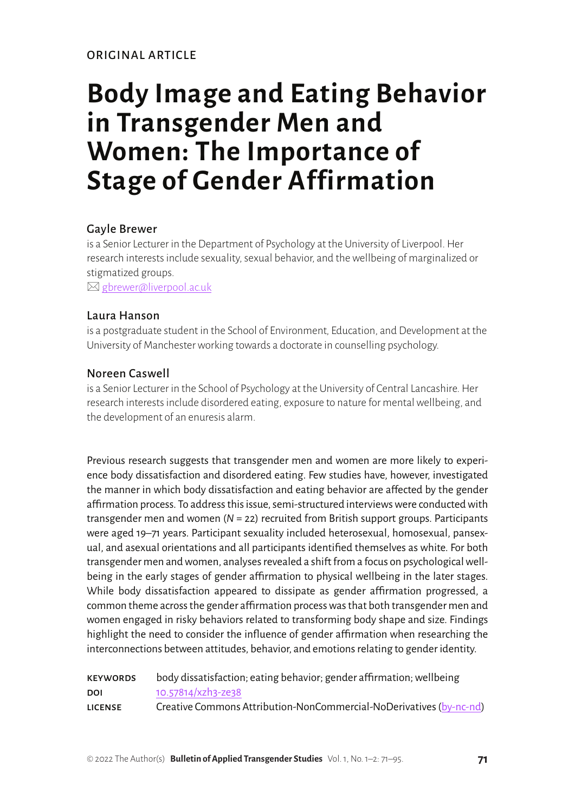ORIGINAL ARTICLE

# **Body Image and Eating Behavior in Transgender Men and Women: The Importance of Stage of Gender Affirmation**

## Gayle Brewer

is a Senior Lecturer in the Department of Psychology at the University of Liverpool. Her research interests include sexuality, sexual behavior, and the wellbeing of marginalized or stigmatized groups.

 $\boxtimes$  [gbrewer@liverpool.ac.uk](mailto:gbrewer%40liverpool.ac.uk?subject=)

#### Laura Hanson

is a postgraduate student in the School of Environment, Education, and Development at the University of Manchester working towards a doctorate in counselling psychology.

#### Noreen Caswell

is a Senior Lecturer in the School of Psychology at the University of Central Lancashire. Her research interests include disordered eating, exposure to nature for mental wellbeing, and the development of an enuresis alarm.

Previous research suggests that transgender men and women are more likely to experience body dissatisfaction and disordered eating. Few studies have, however, investigated the manner in which body dissatisfaction and eating behavior are affected by the gender affirmation process. To address this issue, semi-structured interviews were conducted with transgender men and women (*N* = 22) recruited from British support groups. Participants were aged 19–71 years. Participant sexuality included heterosexual, homosexual, pansexual, and asexual orientations and all participants identified themselves as white. For both transgender men and women, analyses revealed a shift from a focus on psychological wellbeing in the early stages of gender affirmation to physical wellbeing in the later stages. While body dissatisfaction appeared to dissipate as gender affirmation progressed, a common theme across the gender affirmation process was that both transgender men and women engaged in risky behaviors related to transforming body shape and size. Findings highlight the need to consider the influence of gender affirmation when researching the interconnections between attitudes, behavior, and emotions relating to gender identity.

| <b>KEYWORDS</b> | body dissatisfaction; eating behavior; gender affirmation; wellbeing |
|-----------------|----------------------------------------------------------------------|
| DOI             | 10.57814/xzh3-ze38                                                   |
| <b>LICENSE</b>  | Creative Commons Attribution-NonCommercial-NoDerivatives (by-nc-nd)  |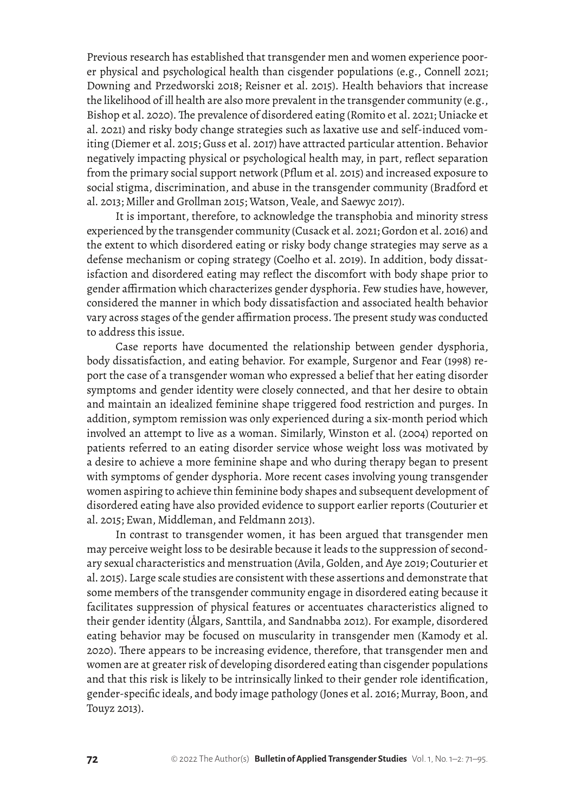Previous research has established that transgender men and women experience poorer physical and psychological health than cisgender populations (e.g., Connell 2021; Downing and Przedworski 2018; Reisner et al. 2015). Health behaviors that increase the likelihood of ill health are also more prevalent in the transgender community (e.g., Bishop et al. 2020). The prevalence of disordered eating (Romito et al. 2021; Uniacke et al. 2021) and risky body change strategies such as laxative use and self-induced vomiting (Diemer et al. 2015; Guss et al. 2017) have attracted particular attention. Behavior negatively impacting physical or psychological health may, in part, reflect separation from the primary social support network (Pflum et al. 2015) and increased exposure to social stigma, discrimination, and abuse in the transgender community (Bradford et al. 2013; Miller and Grollman 2015; Watson, Veale, and Saewyc 2017).

It is important, therefore, to acknowledge the transphobia and minority stress experienced by the transgender community (Cusack et al. 2021; Gordon et al. 2016) and the extent to which disordered eating or risky body change strategies may serve as a defense mechanism or coping strategy (Coelho et al. 2019). In addition, body dissatisfaction and disordered eating may reflect the discomfort with body shape prior to gender affirmation which characterizes gender dysphoria. Few studies have, however, considered the manner in which body dissatisfaction and associated health behavior vary across stages of the gender affirmation process. The present study was conducted to address this issue.

Case reports have documented the relationship between gender dysphoria, body dissatisfaction, and eating behavior. For example, Surgenor and Fear (1998) report the case of a transgender woman who expressed a belief that her eating disorder symptoms and gender identity were closely connected, and that her desire to obtain and maintain an idealized feminine shape triggered food restriction and purges. In addition, symptom remission was only experienced during a six-month period which involved an attempt to live as a woman. Similarly, Winston et al. (2004) reported on patients referred to an eating disorder service whose weight loss was motivated by a desire to achieve a more feminine shape and who during therapy began to present with symptoms of gender dysphoria. More recent cases involving young transgender women aspiring to achieve thin feminine body shapes and subsequent development of disordered eating have also provided evidence to support earlier reports (Couturier et al. 2015; Ewan, Middleman, and Feldmann 2013).

In contrast to transgender women, it has been argued that transgender men may perceive weight loss to be desirable because it leads to the suppression of secondary sexual characteristics and menstruation (Avila, Golden, and Aye 2019; Couturier et al. 2015). Large scale studies are consistent with these assertions and demonstrate that some members of the transgender community engage in disordered eating because it facilitates suppression of physical features or accentuates characteristics aligned to their gender identity (Ålgars, Santtila, and Sandnabba 2012). For example, disordered eating behavior may be focused on muscularity in transgender men (Kamody et al. 2020). There appears to be increasing evidence, therefore, that transgender men and women are at greater risk of developing disordered eating than cisgender populations and that this risk is likely to be intrinsically linked to their gender role identification, gender-specific ideals, and body image pathology (Jones et al. 2016; Murray, Boon, and Touyz 2013).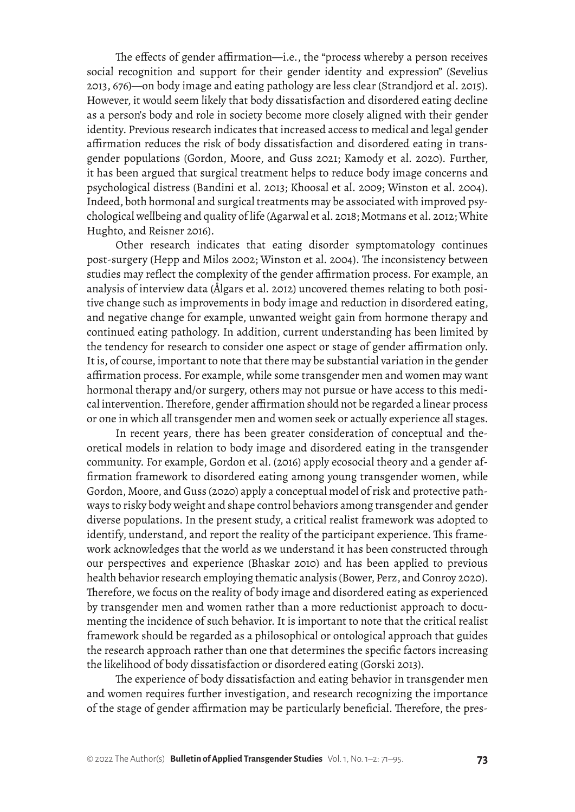The effects of gender affirmation—i.e., the "process whereby a person receives social recognition and support for their gender identity and expression" (Sevelius 2013, 676)—on body image and eating pathology are less clear (Strandjord et al. 2015). However, it would seem likely that body dissatisfaction and disordered eating decline as a person's body and role in society become more closely aligned with their gender identity. Previous research indicates that increased access to medical and legal gender affirmation reduces the risk of body dissatisfaction and disordered eating in transgender populations (Gordon, Moore, and Guss 2021; Kamody et al. 2020). Further, it has been argued that surgical treatment helps to reduce body image concerns and psychological distress (Bandini et al. 2013; Khoosal et al. 2009; Winston et al. 2004). Indeed, both hormonal and surgical treatments may be associated with improved psychological wellbeing and quality of life (Agarwal et al. 2018; Motmans et al. 2012; White Hughto, and Reisner 2016).

Other research indicates that eating disorder symptomatology continues post-surgery (Hepp and Milos 2002; Winston et al. 2004). The inconsistency between studies may reflect the complexity of the gender affirmation process. For example, an analysis of interview data (Ålgars et al. 2012) uncovered themes relating to both positive change such as improvements in body image and reduction in disordered eating, and negative change for example, unwanted weight gain from hormone therapy and continued eating pathology. In addition, current understanding has been limited by the tendency for research to consider one aspect or stage of gender affirmation only. It is, of course, important to note that there may be substantial variation in the gender affirmation process. For example, while some transgender men and women may want hormonal therapy and/or surgery, others may not pursue or have access to this medical intervention. Therefore, gender affirmation should not be regarded a linear process or one in which all transgender men and women seek or actually experience all stages.

In recent years, there has been greater consideration of conceptual and theoretical models in relation to body image and disordered eating in the transgender community. For example, Gordon et al. (2016) apply ecosocial theory and a gender affirmation framework to disordered eating among young transgender women, while Gordon, Moore, and Guss (2020) apply a conceptual model of risk and protective pathways to risky body weight and shape control behaviors among transgender and gender diverse populations. In the present study, a critical realist framework was adopted to identify, understand, and report the reality of the participant experience. This framework acknowledges that the world as we understand it has been constructed through our perspectives and experience (Bhaskar 2010) and has been applied to previous health behavior research employing thematic analysis (Bower, Perz, and Conroy 2020). Therefore, we focus on the reality of body image and disordered eating as experienced by transgender men and women rather than a more reductionist approach to documenting the incidence of such behavior. It is important to note that the critical realist framework should be regarded as a philosophical or ontological approach that guides the research approach rather than one that determines the specific factors increasing the likelihood of body dissatisfaction or disordered eating (Gorski 2013).

The experience of body dissatisfaction and eating behavior in transgender men and women requires further investigation, and research recognizing the importance of the stage of gender affirmation may be particularly beneficial. Therefore, the pres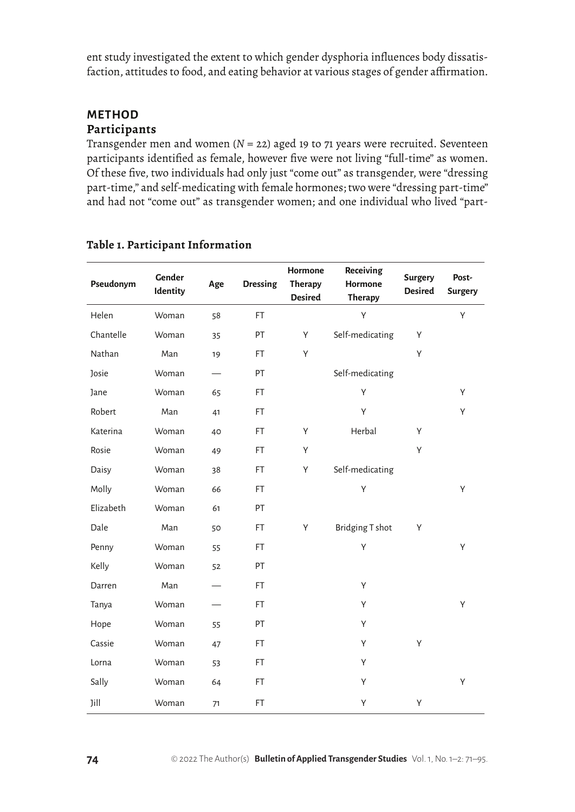ent study investigated the extent to which gender dysphoria influences body dissatisfaction, attitudes to food, and eating behavior at various stages of gender affirmation.

## **METHOD Participants**

Transgender men and women (*N* = 22) aged 19 to 71 years were recruited. Seventeen participants identified as female, however five were not living "full-time" as women. Of these five, two individuals had only just "come out" as transgender, were "dressing part-time," and self-medicating with female hormones; two were "dressing part-time" and had not "come out" as transgender women; and one individual who lived "part-

| Pseudonym    | Gender<br>Identity | Age | <b>Dressing</b> | Hormone<br><b>Therapy</b><br><b>Desired</b> | Receiving<br>Hormone<br><b>Therapy</b> | <b>Surgery</b><br><b>Desired</b> | Post-<br><b>Surgery</b> |
|--------------|--------------------|-----|-----------------|---------------------------------------------|----------------------------------------|----------------------------------|-------------------------|
| Helen        | Woman              | 58  | FT.             |                                             | Υ                                      |                                  | Υ                       |
| Chantelle    | Woman              | 35  | PT              | Υ                                           | Self-medicating                        | Υ                                |                         |
| Nathan       | Man                | 19  | FT              | Υ                                           |                                        | Y                                |                         |
| <b>Josie</b> | Woman              |     | PT              |                                             | Self-medicating                        |                                  |                         |
| Jane         | Woman              | 65  | FT              |                                             | Υ                                      |                                  | Y                       |
| Robert       | Man                | 41  | FT              |                                             | Υ                                      |                                  | Υ                       |
| Katerina     | Woman              | 40  | $\mathsf{FT}$   | Υ                                           | Herbal                                 | Υ                                |                         |
| Rosie        | Woman              | 49  | FT              | Υ                                           |                                        | Υ                                |                         |
| Daisy        | Woman              | 38  | FT              | Υ                                           | Self-medicating                        |                                  |                         |
| Molly        | Woman              | 66  | $\mathsf{FT}$   |                                             | Υ                                      |                                  | Υ                       |
| Elizabeth    | Woman              | 61  | PT              |                                             |                                        |                                  |                         |
| Dale         | Man                | 50  | $\mathsf{FT}$   | Υ                                           | Bridging T shot                        | Υ                                |                         |
| Penny        | Woman              | 55  | FT              |                                             | Υ                                      |                                  | Υ                       |
| Kelly        | Woman              | 52  | PT              |                                             |                                        |                                  |                         |
| Darren       | Man                |     | $\mathsf{FT}$   |                                             | Υ                                      |                                  |                         |
| Tanya        | Woman              |     | FT              |                                             | Υ                                      |                                  | Υ                       |
| Hope         | Woman              | 55  | PT              |                                             | Υ                                      |                                  |                         |
| Cassie       | Woman              | 47  | FT              |                                             | Υ                                      | Υ                                |                         |
| Lorna        | Woman              | 53  | FT              |                                             | Υ                                      |                                  |                         |
| Sally        | Woman              | 64  | $\mathsf{FT}$   |                                             | Υ                                      |                                  | Υ                       |
| Jill         | Woman              | 71  | FT              |                                             | Υ                                      | Υ                                |                         |

## **Table 1. Participant Information**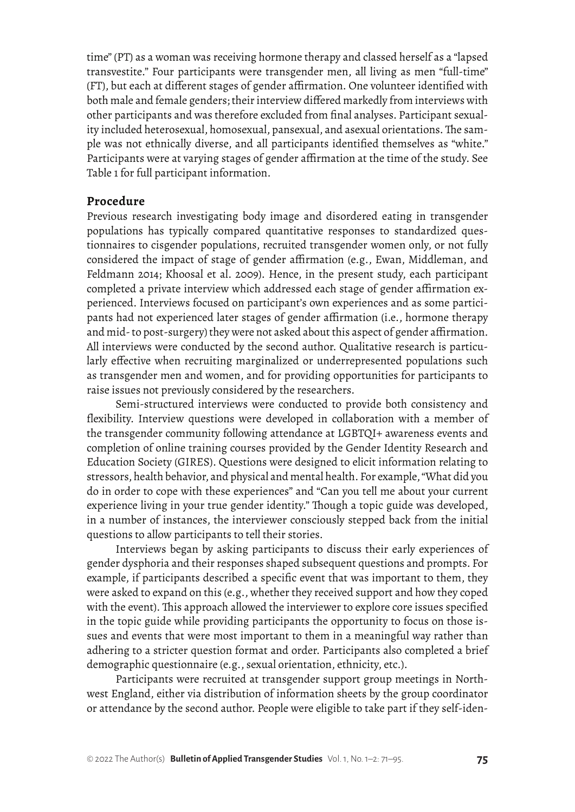time" (PT) as a woman was receiving hormone therapy and classed herself as a "lapsed transvestite." Four participants were transgender men, all living as men "full-time" (FT), but each at different stages of gender affirmation. One volunteer identified with both male and female genders; their interview differed markedly from interviews with other participants and was therefore excluded from final analyses. Participant sexuality included heterosexual, homosexual, pansexual, and asexual orientations. The sample was not ethnically diverse, and all participants identified themselves as "white." Participants were at varying stages of gender affirmation at the time of the study. See Table 1 for full participant information.

#### **Procedure**

Previous research investigating body image and disordered eating in transgender populations has typically compared quantitative responses to standardized questionnaires to cisgender populations, recruited transgender women only, or not fully considered the impact of stage of gender affirmation (e.g., Ewan, Middleman, and Feldmann 2014; Khoosal et al. 2009). Hence, in the present study, each participant completed a private interview which addressed each stage of gender affirmation experienced. Interviews focused on participant's own experiences and as some participants had not experienced later stages of gender affirmation (i.e., hormone therapy and mid- to post-surgery) they were not asked about this aspect of gender affirmation. All interviews were conducted by the second author. Qualitative research is particularly effective when recruiting marginalized or underrepresented populations such as transgender men and women, and for providing opportunities for participants to raise issues not previously considered by the researchers.

Semi-structured interviews were conducted to provide both consistency and flexibility. Interview questions were developed in collaboration with a member of the transgender community following attendance at LGBTQI+ awareness events and completion of online training courses provided by the Gender Identity Research and Education Society (GIRES). Questions were designed to elicit information relating to stressors, health behavior, and physical and mental health. For example, "What did you do in order to cope with these experiences" and "Can you tell me about your current experience living in your true gender identity." Though a topic guide was developed, in a number of instances, the interviewer consciously stepped back from the initial questions to allow participants to tell their stories.

Interviews began by asking participants to discuss their early experiences of gender dysphoria and their responses shaped subsequent questions and prompts. For example, if participants described a specific event that was important to them, they were asked to expand on this (e.g., whether they received support and how they coped with the event). This approach allowed the interviewer to explore core issues specified in the topic guide while providing participants the opportunity to focus on those issues and events that were most important to them in a meaningful way rather than adhering to a stricter question format and order. Participants also completed a brief demographic questionnaire (e.g., sexual orientation, ethnicity, etc.).

Participants were recruited at transgender support group meetings in Northwest England, either via distribution of information sheets by the group coordinator or attendance by the second author. People were eligible to take part if they self-iden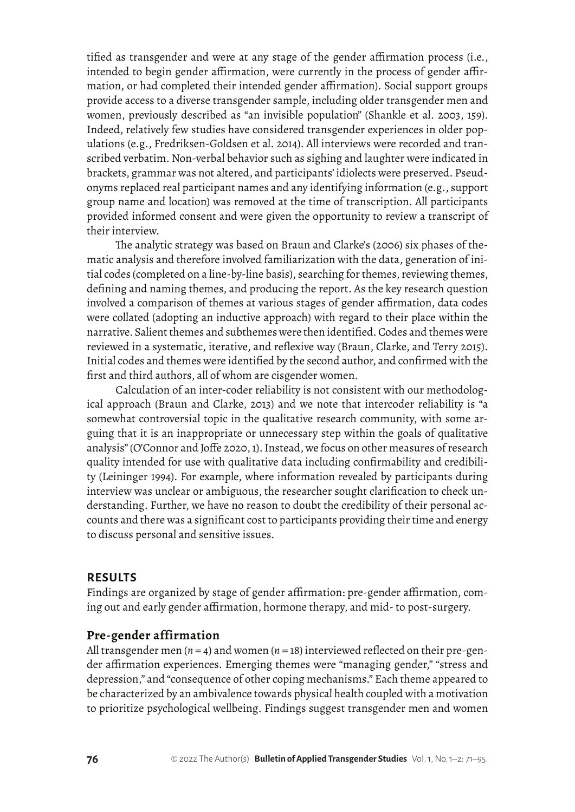tified as transgender and were at any stage of the gender affirmation process (i.e., intended to begin gender affirmation, were currently in the process of gender affirmation, or had completed their intended gender affirmation). Social support groups provide access to a diverse transgender sample, including older transgender men and women, previously described as "an invisible population" (Shankle et al. 2003, 159). Indeed, relatively few studies have considered transgender experiences in older populations (e.g., Fredriksen-Goldsen et al. 2014). All interviews were recorded and transcribed verbatim. Non-verbal behavior such as sighing and laughter were indicated in brackets, grammar was not altered, and participants' idiolects were preserved. Pseudonyms replaced real participant names and any identifying information (e.g., support group name and location) was removed at the time of transcription. All participants provided informed consent and were given the opportunity to review a transcript of their interview.

The analytic strategy was based on Braun and Clarke's (2006) six phases of thematic analysis and therefore involved familiarization with the data, generation of initial codes (completed on a line-by-line basis), searching for themes, reviewing themes, defining and naming themes, and producing the report. As the key research question involved a comparison of themes at various stages of gender affirmation, data codes were collated (adopting an inductive approach) with regard to their place within the narrative. Salient themes and subthemes were then identified. Codes and themes were reviewed in a systematic, iterative, and reflexive way (Braun, Clarke, and Terry 2015). Initial codes and themes were identified by the second author, and confirmed with the first and third authors, all of whom are cisgender women.

Calculation of an inter-coder reliability is not consistent with our methodological approach (Braun and Clarke, 2013) and we note that intercoder reliability is "a somewhat controversial topic in the qualitative research community, with some arguing that it is an inappropriate or unnecessary step within the goals of qualitative analysis" (O'Connor and Joffe 2020, 1). Instead, we focus on other measures of research quality intended for use with qualitative data including confirmability and credibility (Leininger 1994). For example, where information revealed by participants during interview was unclear or ambiguous, the researcher sought clarification to check understanding. Further, we have no reason to doubt the credibility of their personal accounts and there was a significant cost to participants providing their time and energy to discuss personal and sensitive issues.

#### **RESULTS**

Findings are organized by stage of gender affirmation: pre-gender affirmation, coming out and early gender affirmation, hormone therapy, and mid- to post-surgery.

#### **Pre-gender affirmation**

All transgender men (*n* = 4) and women (*n* = 18) interviewed reflected on their pre-gender affirmation experiences. Emerging themes were "managing gender," "stress and depression," and "consequence of other coping mechanisms." Each theme appeared to be characterized by an ambivalence towards physical health coupled with a motivation to prioritize psychological wellbeing. Findings suggest transgender men and women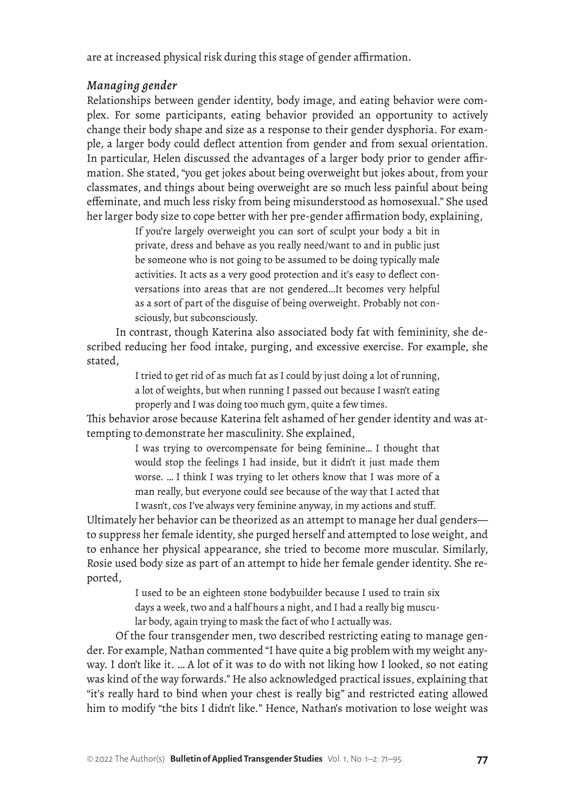are at increased physical risk during this stage of gender affirmation.

## *Managing gender*

Relationships between gender identity, body image, and eating behavior were complex. For some participants, eating behavior provided an opportunity to actively change their body shape and size as a response to their gender dysphoria. For example, a larger body could deflect attention from gender and from sexual orientation. In particular, Helen discussed the advantages of a larger body prior to gender affirmation. She stated, "you get jokes about being overweight but jokes about, from your classmates, and things about being overweight are so much less painful about being effeminate, and much less risky from being misunderstood as homosexual." She used her larger body size to cope better with her pre-gender affirmation body, explaining,

> If you're largely overweight you can sort of sculpt your body a bit in private, dress and behave as you really need/want to and in public just be someone who is not going to be assumed to be doing typically male activities. It acts as a very good protection and it's easy to deflect conversations into areas that are not gendered…It becomes very helpful as a sort of part of the disguise of being overweight. Probably not consciously, but subconsciously.

In contrast, though Katerina also associated body fat with femininity, she described reducing her food intake, purging, and excessive exercise. For example, she stated,

> I tried to get rid of as much fat as I could by just doing a lot of running, a lot of weights, but when running I passed out because I wasn't eating properly and I was doing too much gym, quite a few times.

This behavior arose because Katerina felt ashamed of her gender identity and was attempting to demonstrate her masculinity. She explained,

> I was trying to overcompensate for being feminine… I thought that would stop the feelings I had inside, but it didn't it just made them worse. … I think I was trying to let others know that I was more of a man really, but everyone could see because of the way that I acted that I wasn't, cos I've always very feminine anyway, in my actions and stuff.

Ultimately her behavior can be theorized as an attempt to manage her dual genders to suppress her female identity, she purged herself and attempted to lose weight, and to enhance her physical appearance, she tried to become more muscular. Similarly, Rosie used body size as part of an attempt to hide her female gender identity. She reported,

> I used to be an eighteen stone bodybuilder because I used to train six days a week, two and a half hours a night, and I had a really big muscular body, again trying to mask the fact of who I actually was.

Of the four transgender men, two described restricting eating to manage gender. For example, Nathan commented "I have quite a big problem with my weight anyway. I don't like it. … A lot of it was to do with not liking how I looked, so not eating was kind of the way forwards." He also acknowledged practical issues, explaining that "it's really hard to bind when your chest is really big*"* and restricted eating allowed him to modify "the bits I didn't like*.*" Hence, Nathan's motivation to lose weight was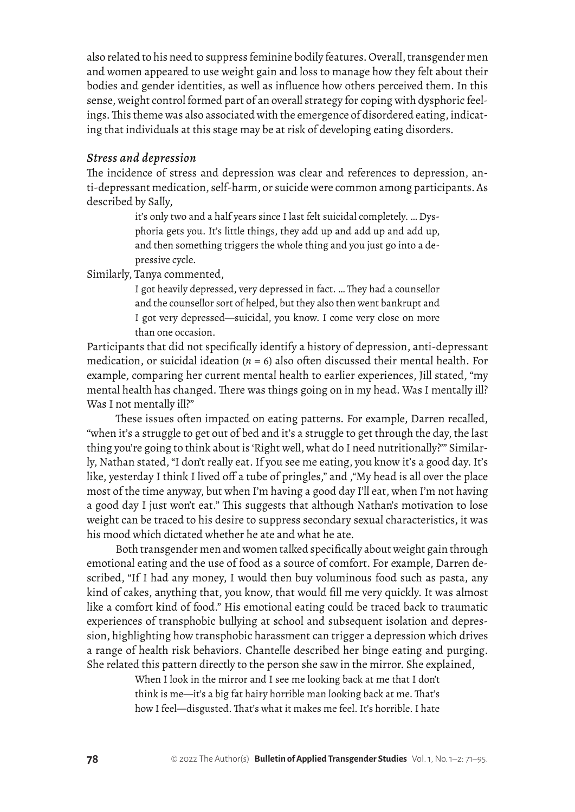also related to his need to suppress feminine bodily features. Overall, transgender men and women appeared to use weight gain and loss to manage how they felt about their bodies and gender identities, as well as influence how others perceived them. In this sense, weight control formed part of an overall strategy for coping with dysphoric feelings. This theme was also associated with the emergence of disordered eating, indicating that individuals at this stage may be at risk of developing eating disorders.

#### *Stress and depression*

The incidence of stress and depression was clear and references to depression, anti-depressant medication, self-harm, or suicide were common among participants. As described by Sally,

> it's only two and a half years since I last felt suicidal completely. … Dysphoria gets you. It's little things, they add up and add up and add up, and then something triggers the whole thing and you just go into a depressive cycle.

Similarly, Tanya commented,

I got heavily depressed, very depressed in fact. … They had a counsellor and the counsellor sort of helped, but they also then went bankrupt and I got very depressed—suicidal, you know. I come very close on more than one occasion.

Participants that did not specifically identify a history of depression, anti-depressant medication, or suicidal ideation  $(n = 6)$  also often discussed their mental health. For example, comparing her current mental health to earlier experiences, Jill stated, "my mental health has changed. There was things going on in my head. Was I mentally ill? Was I not mentally ill?"

These issues often impacted on eating patterns. For example, Darren recalled, "when it's a struggle to get out of bed and it's a struggle to get through the day, the last thing you're going to think about is 'Right well, what do I need nutritionally?'" Similarly, Nathan stated, "I don't really eat. If you see me eating, you know it's a good day. It's like, yesterday I think I lived off a tube of pringles," and ,"My head is all over the place most of the time anyway, but when I'm having a good day I'll eat, when I'm not having a good day I just won't eat." This suggests that although Nathan's motivation to lose weight can be traced to his desire to suppress secondary sexual characteristics, it was his mood which dictated whether he ate and what he ate.

Both transgender men and women talked specifically about weight gain through emotional eating and the use of food as a source of comfort. For example, Darren described, "If I had any money, I would then buy voluminous food such as pasta, any kind of cakes, anything that, you know, that would fill me very quickly. It was almost like a comfort kind of food." His emotional eating could be traced back to traumatic experiences of transphobic bullying at school and subsequent isolation and depression, highlighting how transphobic harassment can trigger a depression which drives a range of health risk behaviors. Chantelle described her binge eating and purging. She related this pattern directly to the person she saw in the mirror. She explained,

> When I look in the mirror and I see me looking back at me that I don't think is me—it's a big fat hairy horrible man looking back at me. That's how I feel—disgusted. That's what it makes me feel. It's horrible. I hate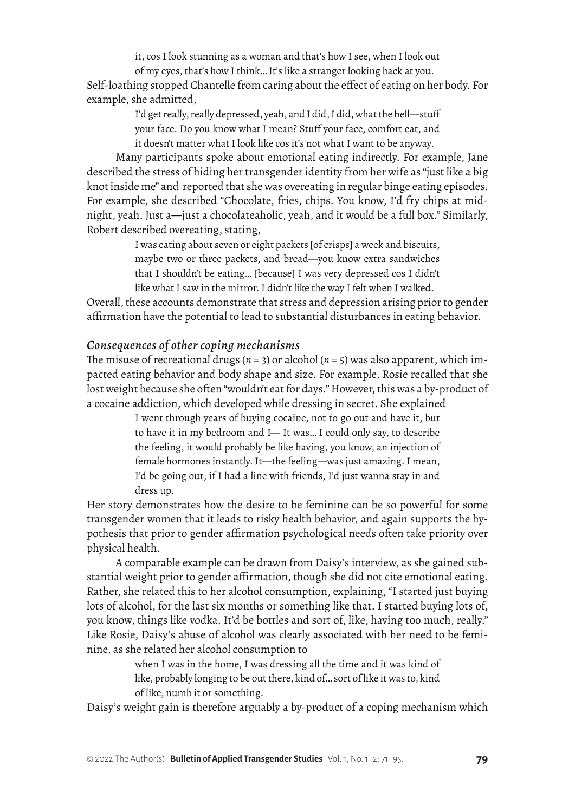it, cos I look stunning as a woman and that's how I see, when I look out of my eyes, that's how I think… It's like a stranger looking back at you.

Self-loathing stopped Chantelle from caring about the effect of eating on her body. For example, she admitted,

I'd get really, really depressed, yeah, and I did, I did, what the hell—stuff your face. Do you know what I mean? Stuff your face, comfort eat, and it doesn't matter what I look like cos it's not what I want to be anyway.

Many participants spoke about emotional eating indirectly. For example, Jane described the stress of hiding her transgender identity from her wife as "just like a big knot inside me" and reported that she was overeating in regular binge eating episodes. For example, she described "Chocolate, fries, chips. You know, I'd fry chips at midnight, yeah. Just a—just a chocolateaholic, yeah, and it would be a full box." Similarly, Robert described overeating, stating,

> I was eating about seven or eight packets [of crisps] a week and biscuits, maybe two or three packets, and bread—you know extra sandwiches that I shouldn't be eating… [because] I was very depressed cos I didn't like what I saw in the mirror. I didn't like the way I felt when I walked.

Overall, these accounts demonstrate that stress and depression arising prior to gender affirmation have the potential to lead to substantial disturbances in eating behavior.

## *Consequences of other coping mechanisms*

The misuse of recreational drugs ( $n = 3$ ) or alcohol ( $n = 5$ ) was also apparent, which impacted eating behavior and body shape and size. For example, Rosie recalled that she lost weight because she often "wouldn't eat for days." However, this was a by-product of a cocaine addiction, which developed while dressing in secret. She explained

> I went through years of buying cocaine, not to go out and have it, but to have it in my bedroom and I— It was… I could only say, to describe the feeling, it would probably be like having, you know, an injection of female hormones instantly. It—the feeling—was just amazing. I mean, I'd be going out, if I had a line with friends, I'd just wanna stay in and dress up.

Her story demonstrates how the desire to be feminine can be so powerful for some transgender women that it leads to risky health behavior, and again supports the hypothesis that prior to gender affirmation psychological needs often take priority over physical health.

A comparable example can be drawn from Daisy's interview, as she gained substantial weight prior to gender affirmation, though she did not cite emotional eating. Rather, she related this to her alcohol consumption, explaining, "I started just buying lots of alcohol, for the last six months or something like that. I started buying lots of, you know, things like vodka. It'd be bottles and sort of, like, having too much, really." Like Rosie, Daisy's abuse of alcohol was clearly associated with her need to be feminine, as she related her alcohol consumption to

> when I was in the home, I was dressing all the time and it was kind of like, probably longing to be out there, kind of… sort of like it was to, kind of like, numb it or something.

Daisy's weight gain is therefore arguably a by-product of a coping mechanism which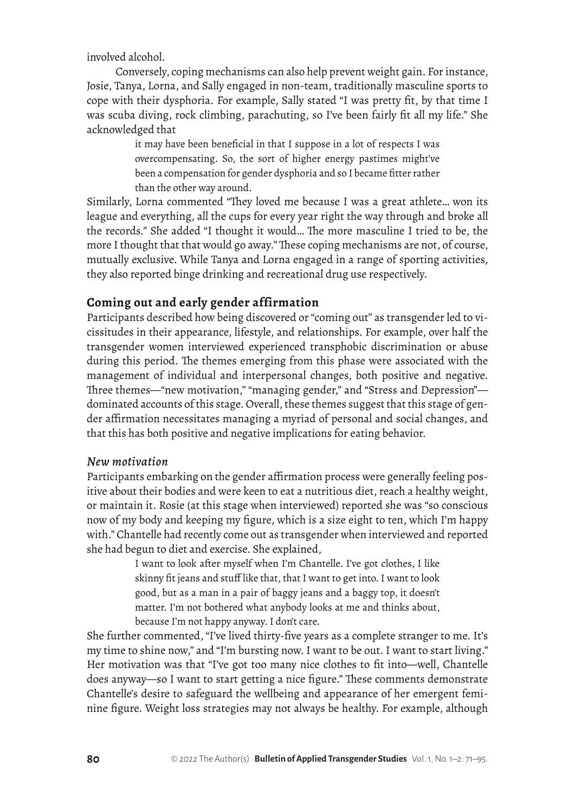involved alcohol.

Conversely, coping mechanisms can also help prevent weight gain. For instance, Josie, Tanya, Lorna, and Sally engaged in non-team, traditionally masculine sports to cope with their dysphoria. For example, Sally stated "I was pretty fit, by that time I was scuba diving, rock climbing, parachuting, so I've been fairly fit all my life." She acknowledged that

> it may have been beneficial in that I suppose in a lot of respects I was overcompensating. So, the sort of higher energy pastimes might've been a compensation for gender dysphoria and so I became fitter rather than the other way around.

Similarly, Lorna commented "They loved me because I was a great athlete… won its league and everything, all the cups for every year right the way through and broke all the records." She added "I thought it would… The more masculine I tried to be, the more I thought that that would go away." These coping mechanisms are not, of course, mutually exclusive. While Tanya and Lorna engaged in a range of sporting activities, they also reported binge drinking and recreational drug use respectively.

## **Coming out and early gender affirmation**

Participants described how being discovered or "coming out" as transgender led to vicissitudes in their appearance, lifestyle, and relationships. For example, over half the transgender women interviewed experienced transphobic discrimination or abuse during this period. The themes emerging from this phase were associated with the management of individual and interpersonal changes, both positive and negative. Three themes—"new motivation," "managing gender," and "Stress and Depression" dominated accounts of this stage. Overall, these themes suggest that this stage of gender affirmation necessitates managing a myriad of personal and social changes, and that this has both positive and negative implications for eating behavior.

#### *New motivation*

Participants embarking on the gender affirmation process were generally feeling positive about their bodies and were keen to eat a nutritious diet, reach a healthy weight, or maintain it. Rosie (at this stage when interviewed) reported she was "so conscious now of my body and keeping my figure, which is a size eight to ten, which I'm happy with." Chantelle had recently come out as transgender when interviewed and reported she had begun to diet and exercise. She explained,

> I want to look after myself when I'm Chantelle. I've got clothes, I like skinny fit jeans and stuff like that, that I want to get into. I want to look good, but as a man in a pair of baggy jeans and a baggy top, it doesn't matter. I'm not bothered what anybody looks at me and thinks about, because I'm not happy anyway. I don't care.

She further commented, "I've lived thirty-five years as a complete stranger to me. It's my time to shine now," and "I'm bursting now. I want to be out. I want to start living." Her motivation was that "I've got too many nice clothes to fit into—well, Chantelle does anyway—so I want to start getting a nice figure." These comments demonstrate Chantelle's desire to safeguard the wellbeing and appearance of her emergent feminine figure. Weight loss strategies may not always be healthy. For example, although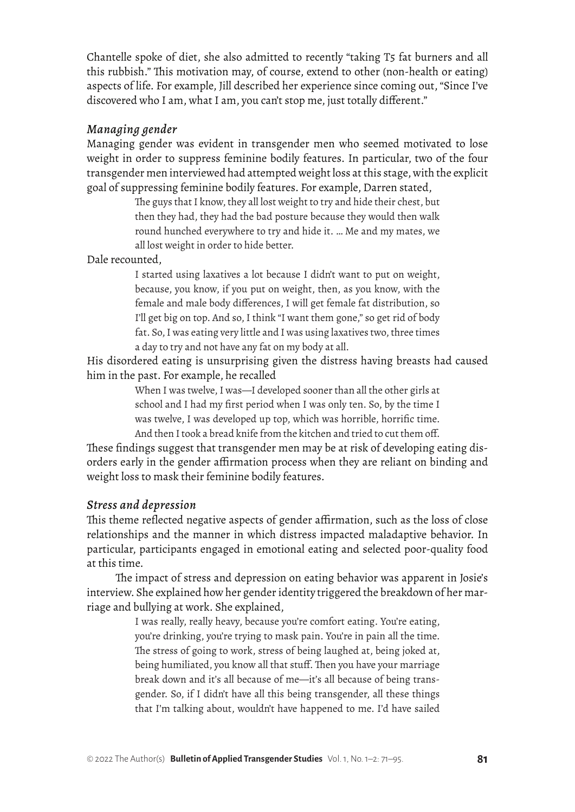Chantelle spoke of diet, she also admitted to recently "taking T5 fat burners and all this rubbish." This motivation may, of course, extend to other (non-health or eating) aspects of life. For example, Jill described her experience since coming out, "Since I've discovered who I am, what I am, you can't stop me, just totally different."

## *Managing gender*

Managing gender was evident in transgender men who seemed motivated to lose weight in order to suppress feminine bodily features. In particular, two of the four transgender men interviewed had attempted weight loss at this stage, with the explicit goal of suppressing feminine bodily features. For example, Darren stated,

> The guys that I know, they all lost weight to try and hide their chest, but then they had, they had the bad posture because they would then walk round hunched everywhere to try and hide it. … Me and my mates, we all lost weight in order to hide better.

#### Dale recounted,

I started using laxatives a lot because I didn't want to put on weight, because, you know, if you put on weight, then, as you know, with the female and male body differences, I will get female fat distribution, so I'll get big on top. And so, I think "I want them gone," so get rid of body fat. So, I was eating very little and I was using laxatives two, three times a day to try and not have any fat on my body at all.

His disordered eating is unsurprising given the distress having breasts had caused him in the past. For example, he recalled

> When I was twelve, I was—I developed sooner than all the other girls at school and I had my first period when I was only ten. So, by the time I was twelve, I was developed up top, which was horrible, horrific time. And then I took a bread knife from the kitchen and tried to cut them off.

These findings suggest that transgender men may be at risk of developing eating disorders early in the gender affirmation process when they are reliant on binding and weight loss to mask their feminine bodily features.

#### *Stress and depression*

This theme reflected negative aspects of gender affirmation, such as the loss of close relationships and the manner in which distress impacted maladaptive behavior. In particular, participants engaged in emotional eating and selected poor-quality food at this time.

The impact of stress and depression on eating behavior was apparent in Josie's interview. She explained how her gender identity triggered the breakdown of her marriage and bullying at work. She explained,

> I was really, really heavy, because you're comfort eating. You're eating, you're drinking, you're trying to mask pain. You're in pain all the time. The stress of going to work, stress of being laughed at, being joked at, being humiliated, you know all that stuff. Then you have your marriage break down and it's all because of me—it's all because of being transgender. So, if I didn't have all this being transgender, all these things that I'm talking about, wouldn't have happened to me. I'd have sailed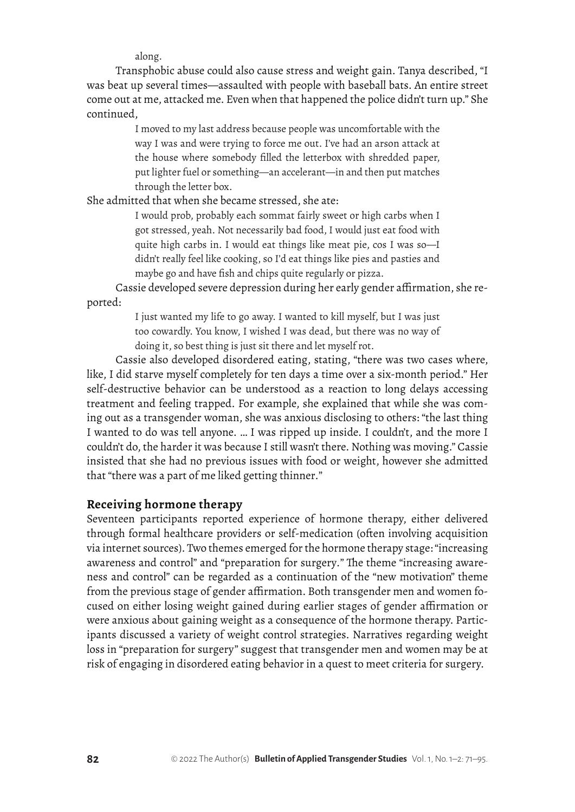along.

Transphobic abuse could also cause stress and weight gain. Tanya described, "I was beat up several times—assaulted with people with baseball bats. An entire street come out at me, attacked me. Even when that happened the police didn't turn up." She continued,

> I moved to my last address because people was uncomfortable with the way I was and were trying to force me out. I've had an arson attack at the house where somebody filled the letterbox with shredded paper, put lighter fuel or something—an accelerant—in and then put matches through the letter box.

She admitted that when she became stressed, she ate:

I would prob, probably each sommat fairly sweet or high carbs when I got stressed, yeah. Not necessarily bad food, I would just eat food with quite high carbs in. I would eat things like meat pie, cos I was so—I didn't really feel like cooking, so I'd eat things like pies and pasties and maybe go and have fish and chips quite regularly or pizza.

Cassie developed severe depression during her early gender affirmation, she reported:

> I just wanted my life to go away. I wanted to kill myself, but I was just too cowardly. You know, I wished I was dead, but there was no way of doing it, so best thing is just sit there and let myself rot.

Cassie also developed disordered eating, stating, "there was two cases where, like, I did starve myself completely for ten days a time over a six-month period." Her self-destructive behavior can be understood as a reaction to long delays accessing treatment and feeling trapped. For example, she explained that while she was coming out as a transgender woman, she was anxious disclosing to others: "the last thing I wanted to do was tell anyone. … I was ripped up inside. I couldn't, and the more I couldn't do, the harder it was because I still wasn't there. Nothing was moving." Cassie insisted that she had no previous issues with food or weight, however she admitted that "there was a part of me liked getting thinner*.*"

## **Receiving hormone therapy**

Seventeen participants reported experience of hormone therapy, either delivered through formal healthcare providers or self-medication (often involving acquisition via internet sources). Two themes emerged for the hormone therapy stage: "increasing awareness and control" and "preparation for surgery*.*" The theme "increasing awareness and control" can be regarded as a continuation of the "new motivation" theme from the previous stage of gender affirmation. Both transgender men and women focused on either losing weight gained during earlier stages of gender affirmation or were anxious about gaining weight as a consequence of the hormone therapy. Participants discussed a variety of weight control strategies. Narratives regarding weight loss in "preparation for surgery" suggest that transgender men and women may be at risk of engaging in disordered eating behavior in a quest to meet criteria for surgery.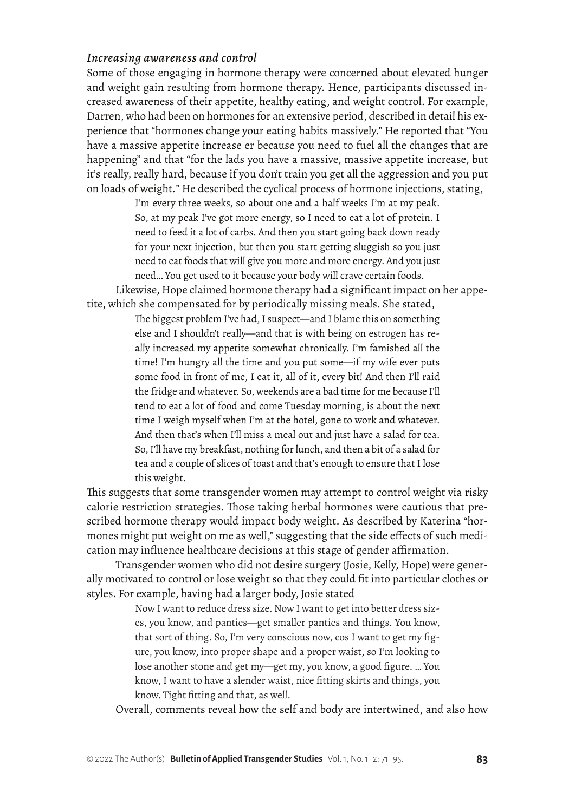## *Increasing awareness and control*

Some of those engaging in hormone therapy were concerned about elevated hunger and weight gain resulting from hormone therapy. Hence, participants discussed increased awareness of their appetite, healthy eating, and weight control. For example, Darren, who had been on hormones for an extensive period, described in detail his experience that "hormones change your eating habits massively." He reported that "You have a massive appetite increase er because you need to fuel all the changes that are happening" and that "for the lads you have a massive, massive appetite increase, but it's really, really hard, because if you don't train you get all the aggression and you put on loads of weight*.*" He described the cyclical process of hormone injections, stating,

> I'm every three weeks, so about one and a half weeks I'm at my peak. So, at my peak I've got more energy, so I need to eat a lot of protein. I need to feed it a lot of carbs. And then you start going back down ready for your next injection, but then you start getting sluggish so you just need to eat foods that will give you more and more energy. And you just need… You get used to it because your body will crave certain foods.

Likewise, Hope claimed hormone therapy had a significant impact on her appetite, which she compensated for by periodically missing meals. She stated,

> The biggest problem I've had, I suspect—and I blame this on something else and I shouldn't really—and that is with being on estrogen has really increased my appetite somewhat chronically. I'm famished all the time! I'm hungry all the time and you put some—if my wife ever puts some food in front of me, I eat it, all of it, every bit! And then I'll raid the fridge and whatever. So, weekends are a bad time for me because I'll tend to eat a lot of food and come Tuesday morning, is about the next time I weigh myself when I'm at the hotel, gone to work and whatever. And then that's when I'll miss a meal out and just have a salad for tea. So, I'll have my breakfast, nothing for lunch, and then a bit of a salad for tea and a couple of slices of toast and that's enough to ensure that I lose this weight.

This suggests that some transgender women may attempt to control weight via risky calorie restriction strategies. Those taking herbal hormones were cautious that prescribed hormone therapy would impact body weight. As described by Katerina "hormones might put weight on me as well," suggesting that the side effects of such medication may influence healthcare decisions at this stage of gender affirmation.

Transgender women who did not desire surgery (Josie, Kelly, Hope) were generally motivated to control or lose weight so that they could fit into particular clothes or styles. For example, having had a larger body, Josie stated

> Now I want to reduce dress size. Now I want to get into better dress sizes, you know, and panties—get smaller panties and things. You know, that sort of thing. So, I'm very conscious now, cos I want to get my figure, you know, into proper shape and a proper waist, so I'm looking to lose another stone and get my—get my, you know, a good figure. … You know, I want to have a slender waist, nice fitting skirts and things, you know. Tight fitting and that, as well.

Overall, comments reveal how the self and body are intertwined, and also how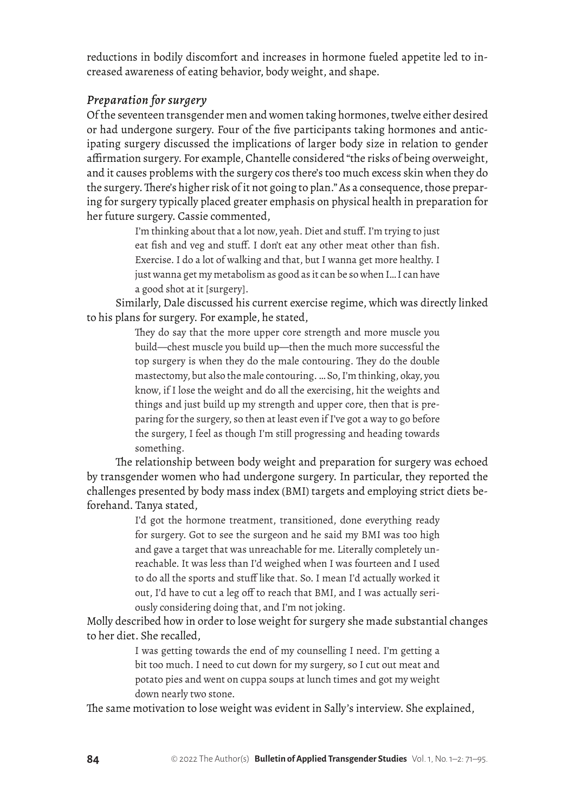reductions in bodily discomfort and increases in hormone fueled appetite led to increased awareness of eating behavior, body weight, and shape.

## *Preparation for surgery*

Of the seventeen transgender men and women taking hormones, twelve either desired or had undergone surgery. Four of the five participants taking hormones and anticipating surgery discussed the implications of larger body size in relation to gender affirmation surgery. For example, Chantelle considered "the risks of being overweight, and it causes problems with the surgery cos there's too much excess skin when they do the surgery. There's higher risk of it not going to plan." As a consequence, those preparing for surgery typically placed greater emphasis on physical health in preparation for her future surgery. Cassie commented,

> I'm thinking about that a lot now, yeah. Diet and stuff. I'm trying to just eat fish and veg and stuff. I don't eat any other meat other than fish. Exercise. I do a lot of walking and that, but I wanna get more healthy. I just wanna get my metabolism as good as it can be so when I… I can have a good shot at it [surgery].

Similarly, Dale discussed his current exercise regime, which was directly linked to his plans for surgery. For example, he stated,

> They do say that the more upper core strength and more muscle you build—chest muscle you build up—then the much more successful the top surgery is when they do the male contouring. They do the double mastectomy, but also the male contouring. … So, I'm thinking, okay, you know, if I lose the weight and do all the exercising, hit the weights and things and just build up my strength and upper core, then that is preparing for the surgery, so then at least even if I've got a way to go before the surgery, I feel as though I'm still progressing and heading towards something.

The relationship between body weight and preparation for surgery was echoed by transgender women who had undergone surgery. In particular, they reported the challenges presented by body mass index (BMI) targets and employing strict diets beforehand. Tanya stated,

> I'd got the hormone treatment, transitioned, done everything ready for surgery. Got to see the surgeon and he said my BMI was too high and gave a target that was unreachable for me. Literally completely unreachable. It was less than I'd weighed when I was fourteen and I used to do all the sports and stuff like that. So. I mean I'd actually worked it out, I'd have to cut a leg off to reach that BMI, and I was actually seriously considering doing that, and I'm not joking.

Molly described how in order to lose weight for surgery she made substantial changes to her diet. She recalled,

> I was getting towards the end of my counselling I need. I'm getting a bit too much. I need to cut down for my surgery, so I cut out meat and potato pies and went on cuppa soups at lunch times and got my weight down nearly two stone.

The same motivation to lose weight was evident in Sally's interview. She explained,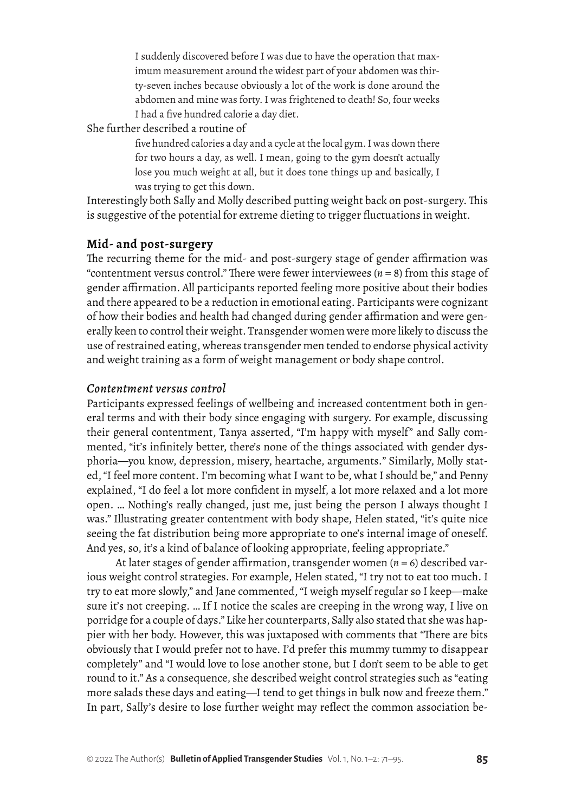I suddenly discovered before I was due to have the operation that maximum measurement around the widest part of your abdomen was thirty-seven inches because obviously a lot of the work is done around the abdomen and mine was forty. I was frightened to death! So, four weeks I had a five hundred calorie a day diet.

She further described a routine of

five hundred calories a day and a cycle at the local gym. I was down there for two hours a day, as well. I mean, going to the gym doesn't actually lose you much weight at all, but it does tone things up and basically, I was trying to get this down.

Interestingly both Sally and Molly described putting weight back on post-surgery. This is suggestive of the potential for extreme dieting to trigger fluctuations in weight.

#### **Mid- and post-surgery**

The recurring theme for the mid- and post-surgery stage of gender affirmation was "contentment versus control." There were fewer interviewees (*n* = 8) from this stage of gender affirmation. All participants reported feeling more positive about their bodies and there appeared to be a reduction in emotional eating. Participants were cognizant of how their bodies and health had changed during gender affirmation and were generally keen to control their weight. Transgender women were more likely to discuss the use of restrained eating, whereas transgender men tended to endorse physical activity and weight training as a form of weight management or body shape control.

#### *Contentment versus control*

Participants expressed feelings of wellbeing and increased contentment both in general terms and with their body since engaging with surgery. For example, discussing their general contentment, Tanya asserted, "I'm happy with myself" and Sally commented, "it's infinitely better, there's none of the things associated with gender dysphoria—you know, depression, misery, heartache, arguments*.*" Similarly, Molly stated, "I feel more content. I'm becoming what I want to be, what I should be," and Penny explained, "I do feel a lot more confident in myself, a lot more relaxed and a lot more open. … Nothing's really changed, just me, just being the person I always thought I was." Illustrating greater contentment with body shape, Helen stated, "it's quite nice seeing the fat distribution being more appropriate to one's internal image of oneself. And yes, so, it's a kind of balance of looking appropriate, feeling appropriate."

At later stages of gender affirmation, transgender women (*n* = 6) described various weight control strategies. For example, Helen stated, "I try not to eat too much. I try to eat more slowly," and Jane commented, "I weigh myself regular so I keep—make sure it's not creeping. … If I notice the scales are creeping in the wrong way, I live on porridge for a couple of days." Like her counterparts, Sally also stated that she was happier with her body. However, this was juxtaposed with comments that "There are bits obviously that I would prefer not to have. I'd prefer this mummy tummy to disappear completely" and "I would love to lose another stone, but I don't seem to be able to get round to it." As a consequence, she described weight control strategies such as "eating more salads these days and eating—I tend to get things in bulk now and freeze them." In part, Sally's desire to lose further weight may reflect the common association be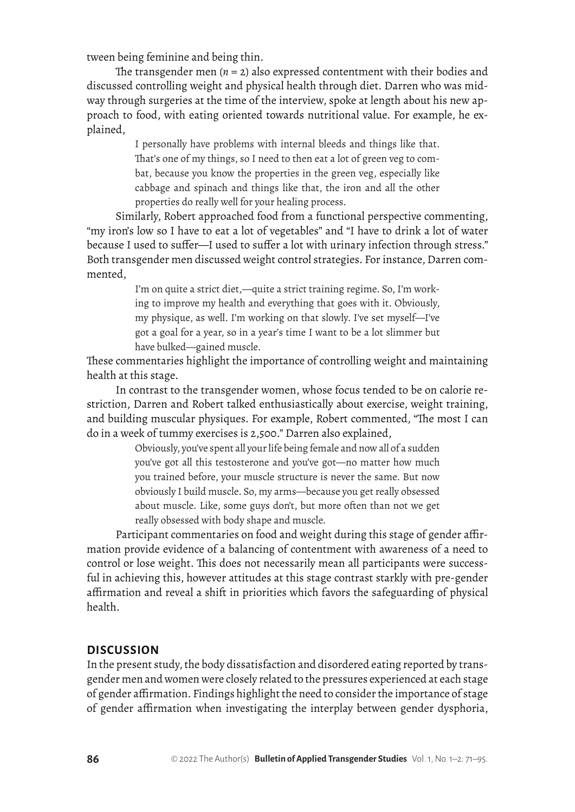tween being feminine and being thin.

The transgender men  $(n = 2)$  also expressed contentment with their bodies and discussed controlling weight and physical health through diet. Darren who was midway through surgeries at the time of the interview, spoke at length about his new approach to food, with eating oriented towards nutritional value. For example, he explained,

> I personally have problems with internal bleeds and things like that. That's one of my things, so I need to then eat a lot of green veg to combat, because you know the properties in the green veg, especially like cabbage and spinach and things like that, the iron and all the other properties do really well for your healing process.

Similarly, Robert approached food from a functional perspective commenting, "my iron's low so I have to eat a lot of vegetables" and "I have to drink a lot of water because I used to suffer—I used to suffer a lot with urinary infection through stress." Both transgender men discussed weight control strategies. For instance, Darren commented,

> I'm on quite a strict diet,—quite a strict training regime. So, I'm working to improve my health and everything that goes with it. Obviously, my physique, as well. I'm working on that slowly. I've set myself—I've got a goal for a year, so in a year's time I want to be a lot slimmer but have bulked—gained muscle.

These commentaries highlight the importance of controlling weight and maintaining health at this stage.

In contrast to the transgender women, whose focus tended to be on calorie restriction, Darren and Robert talked enthusiastically about exercise, weight training, and building muscular physiques. For example, Robert commented, "The most I can do in a week of tummy exercises is 2,500." Darren also explained,

> Obviously, you've spent all your life being female and now all of a sudden you've got all this testosterone and you've got—no matter how much you trained before, your muscle structure is never the same. But now obviously I build muscle. So, my arms—because you get really obsessed about muscle. Like, some guys don't, but more often than not we get really obsessed with body shape and muscle.

Participant commentaries on food and weight during this stage of gender affirmation provide evidence of a balancing of contentment with awareness of a need to control or lose weight. This does not necessarily mean all participants were successful in achieving this, however attitudes at this stage contrast starkly with pre-gender affirmation and reveal a shift in priorities which favors the safeguarding of physical health.

#### **DISCUSSION**

In the present study, the body dissatisfaction and disordered eating reported by transgender men and women were closely related to the pressures experienced at each stage of gender affirmation. Findings highlight the need to consider the importance of stage of gender affirmation when investigating the interplay between gender dysphoria,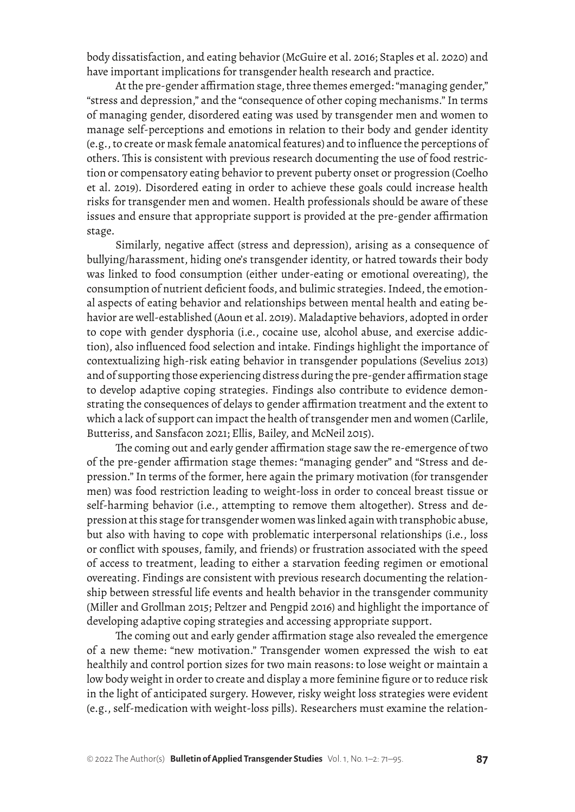body dissatisfaction, and eating behavior (McGuire et al. 2016; Staples et al. 2020) and have important implications for transgender health research and practice.

At the pre-gender affirmation stage, three themes emerged: "managing gender," "stress and depression," and the "consequence of other coping mechanisms." In terms of managing gender, disordered eating was used by transgender men and women to manage self-perceptions and emotions in relation to their body and gender identity (e.g., to create or mask female anatomical features) and to influence the perceptions of others. This is consistent with previous research documenting the use of food restriction or compensatory eating behavior to prevent puberty onset or progression (Coelho et al. 2019). Disordered eating in order to achieve these goals could increase health risks for transgender men and women. Health professionals should be aware of these issues and ensure that appropriate support is provided at the pre-gender affirmation stage.

Similarly, negative affect (stress and depression), arising as a consequence of bullying/harassment, hiding one's transgender identity, or hatred towards their body was linked to food consumption (either under-eating or emotional overeating), the consumption of nutrient deficient foods, and bulimic strategies. Indeed, the emotional aspects of eating behavior and relationships between mental health and eating behavior are well-established (Aoun et al. 2019). Maladaptive behaviors, adopted in order to cope with gender dysphoria (i.e., cocaine use, alcohol abuse, and exercise addiction), also influenced food selection and intake. Findings highlight the importance of contextualizing high-risk eating behavior in transgender populations (Sevelius 2013) and of supporting those experiencing distress during the pre-gender affirmation stage to develop adaptive coping strategies. Findings also contribute to evidence demonstrating the consequences of delays to gender affirmation treatment and the extent to which a lack of support can impact the health of transgender men and women (Carlile, Butteriss, and Sansfacon 2021; Ellis, Bailey, and McNeil 2015).

The coming out and early gender affirmation stage saw the re-emergence of two of the pre-gender affirmation stage themes: "managing gender" and "Stress and depression." In terms of the former, here again the primary motivation (for transgender men) was food restriction leading to weight-loss in order to conceal breast tissue or self-harming behavior (i.e., attempting to remove them altogether). Stress and depressionat this stage for transgender women was linked again with transphobic abuse, but also with having to cope with problematic interpersonal relationships (i.e., loss or conflict with spouses, family, and friends) or frustration associated with the speed of access to treatment, leading to either a starvation feeding regimen or emotional overeating. Findings are consistent with previous research documenting the relationship between stressful life events and health behavior in the transgender community (Miller and Grollman 2015; Peltzer and Pengpid 2016) and highlight the importance of developing adaptive coping strategies and accessing appropriate support.

The coming out and early gender affirmation stage also revealed the emergence of a new theme: "new motivation." Transgender women expressed the wish to eat healthily and control portion sizes for two main reasons: to lose weight or maintain a low body weight in order to create and display a more feminine figure or to reduce risk in the light of anticipated surgery. However, risky weight loss strategies were evident (e.g., self-medication with weight-loss pills). Researchers must examine the relation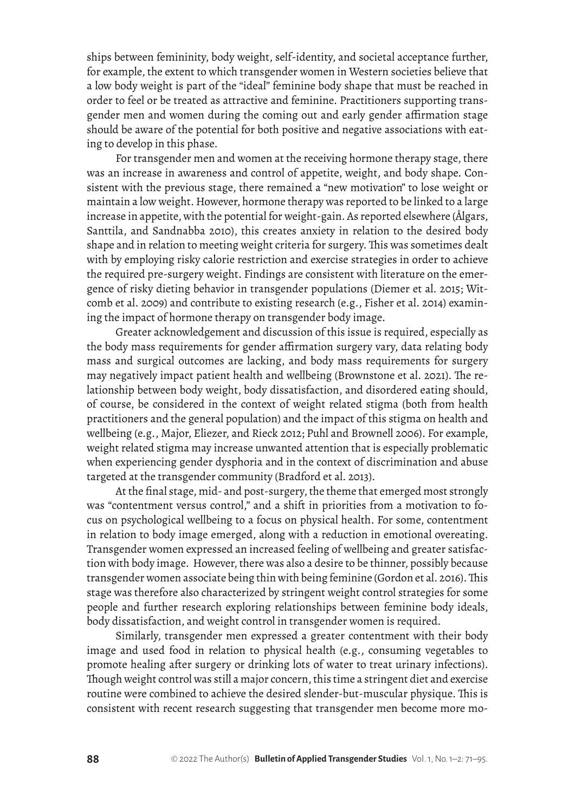ships between femininity, body weight, self-identity, and societal acceptance further, for example, the extent to which transgender women in Western societies believe that a low body weight is part of the "ideal" feminine body shape that must be reached in order to feel or be treated as attractive and feminine. Practitioners supporting transgender men and women during the coming out and early gender affirmation stage should be aware of the potential for both positive and negative associations with eating to develop in this phase.

For transgender men and women at the receiving hormone therapy stage, there was an increase in awareness and control of appetite, weight, and body shape. Consistent with the previous stage, there remained a "new motivation" to lose weight or maintain a low weight. However, hormone therapy was reported to be linked to a large increase in appetite, with the potential for weight-gain. As reported elsewhere (Ålgars, Santtila, and Sandnabba 2010), this creates anxiety in relation to the desired body shape and in relation to meeting weight criteria for surgery. This was sometimes dealt with by employing risky calorie restriction and exercise strategies in order to achieve the required pre-surgery weight. Findings are consistent with literature on the emergence of risky dieting behavior in transgender populations (Diemer et al. 2015; Witcomb et al. 2009) and contribute to existing research (e.g., Fisher et al. 2014) examining the impact of hormone therapy on transgender body image.

Greater acknowledgement and discussion of this issue is required, especially as the body mass requirements for gender affirmation surgery vary, data relating body mass and surgical outcomes are lacking, and body mass requirements for surgery may negatively impact patient health and wellbeing (Brownstone et al. 2021). The relationship between body weight, body dissatisfaction, and disordered eating should, of course, be considered in the context of weight related stigma (both from health practitioners and the general population) and the impact of this stigma on health and wellbeing (e.g., Major, Eliezer, and Rieck 2012; Puhl and Brownell 2006). For example, weight related stigma may increase unwanted attention that is especially problematic when experiencing gender dysphoria and in the context of discrimination and abuse targeted at the transgender community (Bradford et al. 2013).

At the final stage, mid- and post-surgery, the theme that emerged most strongly was "contentment versus control," and a shift in priorities from a motivation to focus on psychological wellbeing to a focus on physical health. For some, contentment in relation to body image emerged, along with a reduction in emotional overeating. Transgender women expressed an increased feeling of wellbeing and greater satisfaction with body image. However, there was also a desire to be thinner, possibly because transgender women associate being thin with being feminine (Gordon et al. 2016). This stage was therefore also characterized by stringent weight control strategies for some people and further research exploring relationships between feminine body ideals, body dissatisfaction, and weight control in transgender women is required.

Similarly, transgender men expressed a greater contentment with their body image and used food in relation to physical health (e.g., consuming vegetables to promote healing after surgery or drinking lots of water to treat urinary infections). Though weight control was still a major concern, this time a stringent diet and exercise routine were combined to achieve the desired slender-but-muscular physique. This is consistent with recent research suggesting that transgender men become more mo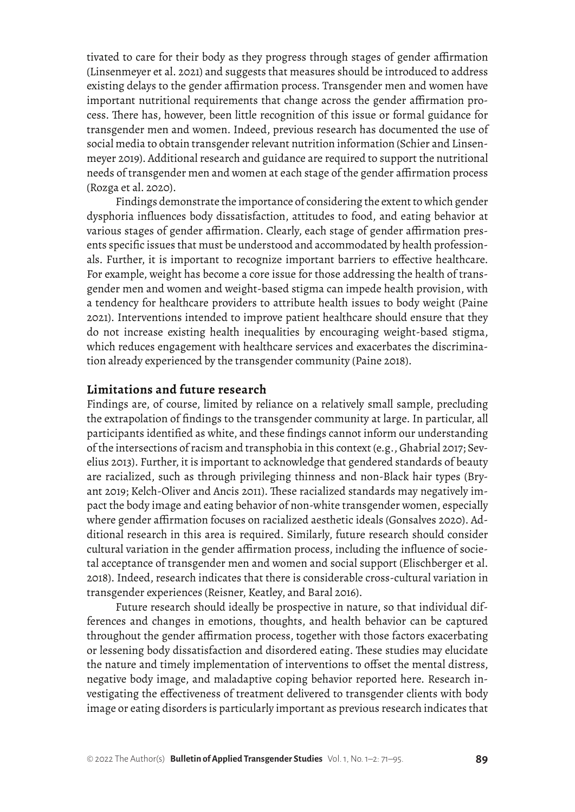tivated to care for their body as they progress through stages of gender affirmation (Linsenmeyer et al. 2021) and suggests that measures should be introduced to address existing delays to the gender affirmation process. Transgender men and women have important nutritional requirements that change across the gender affirmation process. There has, however, been little recognition of this issue or formal guidance for transgender men and women. Indeed, previous research has documented the use of social media to obtain transgender relevant nutrition information (Schier and Linsenmeyer 2019). Additional research and guidance are required to support the nutritional needs of transgender men and women at each stage of the gender affirmation process (Rozga et al. 2020).

Findings demonstrate the importance of considering the extent to which gender dysphoria influences body dissatisfaction, attitudes to food, and eating behavior at various stages of gender affirmation. Clearly, each stage of gender affirmation presents specific issues that must be understood and accommodated by health professionals. Further, it is important to recognize important barriers to effective healthcare. For example, weight has become a core issue for those addressing the health of transgender men and women and weight-based stigma can impede health provision, with a tendency for healthcare providers to attribute health issues to body weight (Paine 2021). Interventions intended to improve patient healthcare should ensure that they do not increase existing health inequalities by encouraging weight-based stigma, which reduces engagement with healthcare services and exacerbates the discrimination already experienced by the transgender community (Paine 2018).

#### **Limitations and future research**

Findings are, of course, limited by reliance on a relatively small sample, precluding the extrapolation of findings to the transgender community at large. In particular, all participants identified as white, and these findings cannot inform our understanding of the intersections of racism and transphobia in this context (e.g., Ghabrial 2017; Sevelius 2013). Further, it is important to acknowledge that gendered standards of beauty are racialized, such as through privileging thinness and non-Black hair types (Bryant 2019; Kelch-Oliver and Ancis 2011). These racialized standards may negatively impact the body image and eating behavior of non-white transgender women, especially where gender affirmation focuses on racialized aesthetic ideals (Gonsalves 2020). Additional research in this area is required. Similarly, future research should consider cultural variation in the gender affirmation process, including the influence of societal acceptance of transgender men and women and social support (Elischberger et al. 2018). Indeed, research indicates that there is considerable cross-cultural variation in transgender experiences (Reisner, Keatley, and Baral 2016).

Future research should ideally be prospective in nature, so that individual differences and changes in emotions, thoughts, and health behavior can be captured throughout the gender affirmation process, together with those factors exacerbating or lessening body dissatisfaction and disordered eating. These studies may elucidate the nature and timely implementation of interventions to offset the mental distress, negative body image, and maladaptive coping behavior reported here. Research investigating the effectiveness of treatment delivered to transgender clients with body image or eating disorders is particularly important as previous research indicates that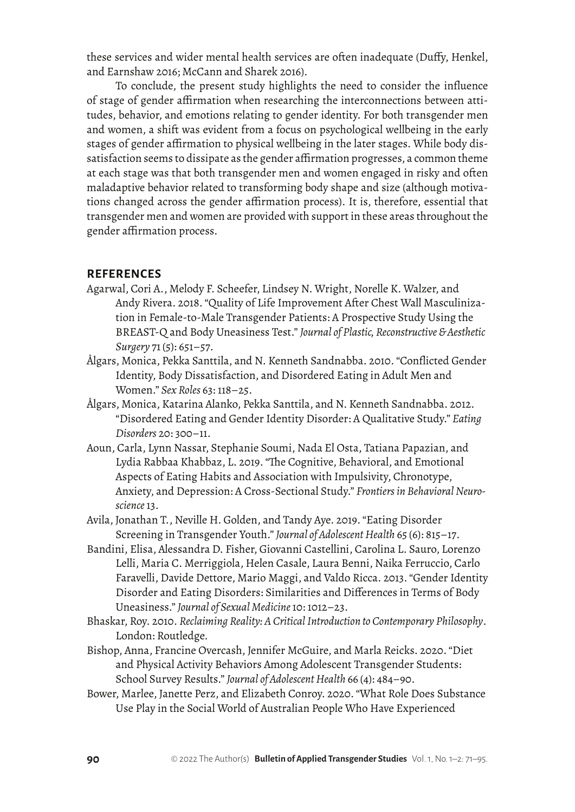these services and wider mental health services are often inadequate (Duffy, Henkel, and Earnshaw 2016; McCann and Sharek 2016).

To conclude, the present study highlights the need to consider the influence of stage of gender affirmation when researching the interconnections between attitudes, behavior, and emotions relating to gender identity. For both transgender men and women, a shift was evident from a focus on psychological wellbeing in the early stages of gender affirmation to physical wellbeing in the later stages. While body dissatisfaction seems to dissipate as the gender affirmation progresses, a common theme at each stage was that both transgender men and women engaged in risky and often maladaptive behavior related to transforming body shape and size (although motivations changed across the gender affirmation process). It is, therefore, essential that transgender men and women are provided with support in these areas throughout the gender affirmation process.

#### **REFERENCES**

- Agarwal, Cori A., Melody F. Scheefer, Lindsey N. Wright, Norelle K. Walzer, and Andy Rivera. 2018. "Quality of Life Improvement After Chest Wall Masculinization in Female-to-Male Transgender Patients: A Prospective Study Using the BREAST-Q and Body Uneasiness Test." *Journal of Plastic, Reconstructive & Aesthetic Surgery* 71(5): 651–57.
- Ålgars, Monica, Pekka Santtila, and N. Kenneth Sandnabba. 2010. "Conflicted Gender Identity, Body Dissatisfaction, and Disordered Eating in Adult Men and Women." *Sex Roles* 63: 118–25.
- Ålgars, Monica, Katarina Alanko, Pekka Santtila, and N. Kenneth Sandnabba. 2012. "Disordered Eating and Gender Identity Disorder: A Qualitative Study." *Eating Disorders* 20: 300–11.
- Aoun, Carla, Lynn Nassar, Stephanie Soumi, Nada El Osta, Tatiana Papazian, and Lydia Rabbaa Khabbaz, L. 2019. "The Cognitive, Behavioral, and Emotional Aspects of Eating Habits and Association with Impulsivity, Chronotype, Anxiety, and Depression: A Cross-Sectional Study." *Frontiers in Behavioral Neuroscience* 13.
- Avila, Jonathan T., Neville H. Golden, and Tandy Aye. 2019. "Eating Disorder Screening in Transgender Youth." *Journal of Adolescent Health* 65 (6): 815–17.
- Bandini, Elisa, Alessandra D. Fisher, Giovanni Castellini, Carolina L. Sauro, Lorenzo Lelli, Maria C. Merriggiola, Helen Casale, Laura Benni, Naika Ferruccio, Carlo Faravelli, Davide Dettore, Mario Maggi, and Valdo Ricca. 2013. "Gender Identity Disorder and Eating Disorders: Similarities and Differences in Terms of Body Uneasiness." *Journal of Sexual Medicine* 10: 1012–23.
- Bhaskar, Roy. 2010. *Reclaiming Reality: A Critical Introduction to Contemporary Philosophy*. London: Routledge.
- Bishop, Anna, Francine Overcash, Jennifer McGuire, and Marla Reicks. 2020. "Diet and Physical Activity Behaviors Among Adolescent Transgender Students: School Survey Results." *Journal of Adolescent Health* 66 (4): 484–90.
- Bower, Marlee, Janette Perz, and Elizabeth Conroy. 2020. "What Role Does Substance Use Play in the Social World of Australian People Who Have Experienced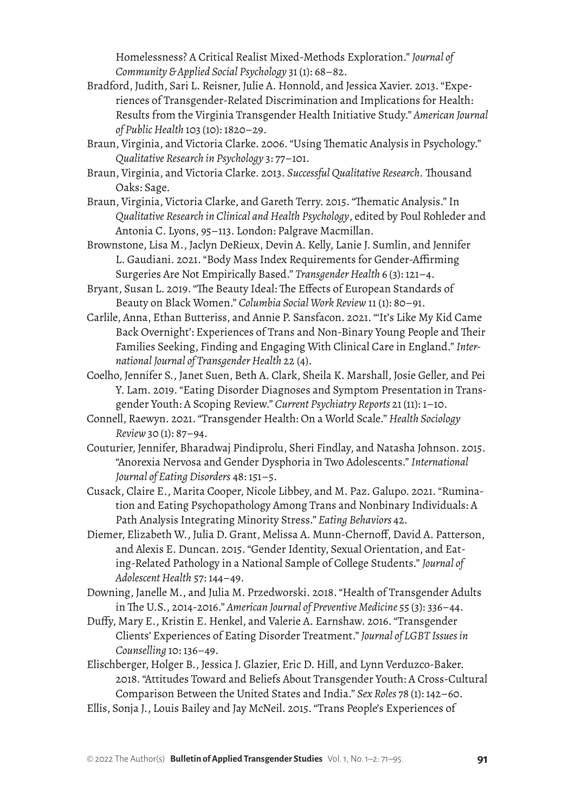Homelessness? A Critical Realist Mixed-Methods Exploration." *Journal of Community & Applied Social Psychology* 31(1): 68–82.

- Bradford, Judith, Sari L. Reisner, Julie A. Honnold, and Jessica Xavier. 2013. "Experiences of Transgender-Related Discrimination and Implications for Health: Results from the Virginia Transgender Health Initiative Study." *American Journal of Public Health* 103 (10): 1820–29.
- Braun, Virginia, and Victoria Clarke. 2006. "Using Thematic Analysis in Psychology." *Qualitative Research in Psychology* 3: 77–101.
- Braun, Virginia, and Victoria Clarke. 2013. *Successful Qualitative Research.* Thousand Oaks: Sage.
- Braun, Virginia, Victoria Clarke, and Gareth Terry. 2015. "Thematic Analysis." In *Qualitative Research in Clinical and Health Psychology*, edited by Poul Rohleder and Antonia C. Lyons, 95–113. London: Palgrave Macmillan.
- Brownstone, Lisa M., Jaclyn DeRieux, Devin A. Kelly, Lanie J. Sumlin, and Jennifer L. Gaudiani. 2021. "Body Mass Index Requirements for Gender-Affirming Surgeries Are Not Empirically Based." *Transgender Health* 6 (3): 121–4.
- Bryant, Susan L. 2019. "The Beauty Ideal: The Effects of European Standards of Beauty on Black Women." *Columbia Social Work Review* 11 (1): 80–91.
- Carlile, Anna, Ethan Butteriss, and Annie P. Sansfacon. 2021. "'It's Like My Kid Came Back Overnight': Experiences of Trans and Non-Binary Young People and Their Families Seeking, Finding and Engaging With Clinical Care in England." *International Journal of Transgender Health* 22 (4).
- Coelho, Jennifer S., Janet Suen, Beth A. Clark, Sheila K. Marshall, Josie Geller, and Pei Y. Lam. 2019. "Eating Disorder Diagnoses and Symptom Presentation in Transgender Youth: A Scoping Review." *Current Psychiatry Reports* 21(11): 1–10.
- Connell, Raewyn. 2021. "Transgender Health: On a World Scale." *Health Sociology Review* 30 (1): 87–94.
- Couturier, Jennifer, Bharadwaj Pindiprolu, Sheri Findlay, and Natasha Johnson. 2015. "Anorexia Nervosa and Gender Dysphoria in Two Adolescents." *International Journal of Eating Disorders* 48: 151–5.
- Cusack, Claire E., Marita Cooper, Nicole Libbey, and M. Paz. Galupo. 2021. "Rumination and Eating Psychopathology Among Trans and Nonbinary Individuals: A Path Analysis Integrating Minority Stress." *Eating Behaviors* 42.
- Diemer, Elizabeth W., Julia D. Grant, Melissa A. Munn-Chernoff, David A. Patterson, and Alexis E. Duncan. 2015. "Gender Identity, Sexual Orientation, and Eating-Related Pathology in a National Sample of College Students." *Journal of Adolescent Health* 57: 144–49.
- Downing, Janelle M., and Julia M. Przedworski. 2018. "Health of Transgender Adults in The U.S., 2014-2016." *American Journal of Preventive Medicine* 55 (3): 336–44.
- Duffy, Mary E., Kristin E. Henkel, and Valerie A. Earnshaw. 2016. "Transgender Clients' Experiences of Eating Disorder Treatment." *Journal of LGBT Issues in Counselling* 10: 136–49.
- Elischberger, Holger B., Jessica J. Glazier, Eric D. Hill, and Lynn Verduzco-Baker. 2018. "Attitudes Toward and Beliefs About Transgender Youth: A Cross-Cultural Comparison Between the United States and India." *Sex Roles* 78 (1): 142–60.
- Ellis, Sonja J., Louis Bailey and Jay McNeil. 2015. "Trans People's Experiences of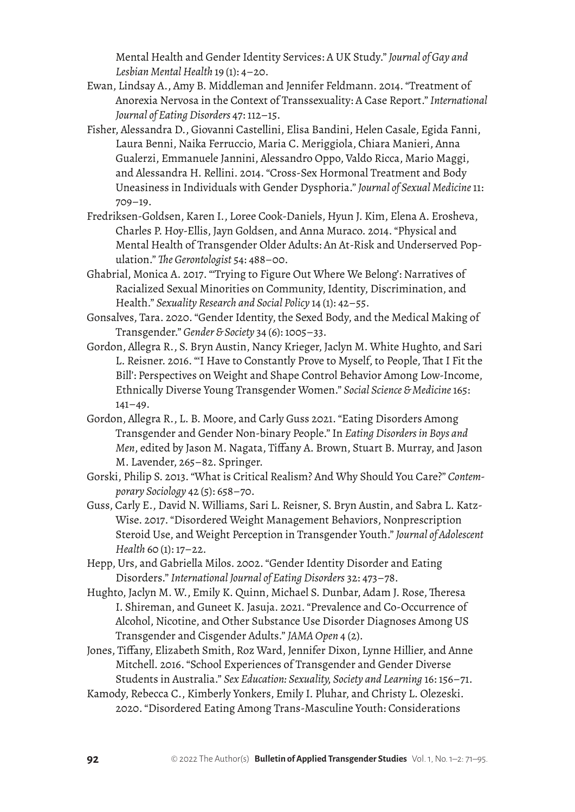Mental Health and Gender Identity Services: A UK Study." *Journal of Gay and Lesbian Mental Health* 19 (1): 4–20.

- Ewan, Lindsay A., Amy B. Middleman and Jennifer Feldmann. 2014. "Treatment of Anorexia Nervosa in the Context of Transsexuality: A Case Report." *International Journal of Eating Disorders* 47: 112–15.
- Fisher, Alessandra D., Giovanni Castellini, Elisa Bandini, Helen Casale, Egida Fanni, Laura Benni, Naika Ferruccio, Maria C. Meriggiola, Chiara Manieri, Anna Gualerzi, Emmanuele Jannini, Alessandro Oppo, Valdo Ricca, Mario Maggi, and Alessandra H. Rellini. 2014. "Cross-Sex Hormonal Treatment and Body Uneasiness in Individuals with Gender Dysphoria." *Journal of Sexual Medicine* 11: 709–19.
- Fredriksen-Goldsen, Karen I., Loree Cook-Daniels, Hyun J. Kim, Elena A. Erosheva, Charles P. Hoy-Ellis, Jayn Goldsen, and Anna Muraco. 2014. "Physical and Mental Health of Transgender Older Adults: An At-Risk and Underserved Population." *The Gerontologist* 54: 488–00.
- Ghabrial, Monica A. 2017. "'Trying to Figure Out Where We Belong': Narratives of Racialized Sexual Minorities on Community, Identity, Discrimination, and Health." *Sexuality Research and Social Policy* 14 (1): 42–55.
- Gonsalves, Tara. 2020. "Gender Identity, the Sexed Body, and the Medical Making of Transgender." *Gender & Society* 34 (6): 1005–33.
- Gordon, Allegra R., S. Bryn Austin, Nancy Krieger, Jaclyn M. White Hughto, and Sari L. Reisner. 2016. "'I Have to Constantly Prove to Myself, to People, That I Fit the Bill': Perspectives on Weight and Shape Control Behavior Among Low-Income, Ethnically Diverse Young Transgender Women." *Social Science & Medicine* 165:  $141 - 49.$
- Gordon, Allegra R., L. B. Moore, and Carly Guss 2021. "Eating Disorders Among Transgender and Gender Non-binary People." In *Eating Disorders in Boys and Men*, edited by Jason M. Nagata, Tiffany A. Brown, Stuart B. Murray, and Jason M. Lavender, 265–82. Springer.
- Gorski, Philip S. 2013. "What is Critical Realism? And Why Should You Care?" *Contemporary Sociology* 42 (5): 658–70.
- Guss, Carly E., David N. Williams, Sari L. Reisner, S. Bryn Austin, and Sabra L. Katz-Wise. 2017. "Disordered Weight Management Behaviors, Nonprescription Steroid Use, and Weight Perception in Transgender Youth." *Journal of Adolescent Health* 60 (1): 17–22.
- Hepp, Urs, and Gabriella Milos. 2002. "Gender Identity Disorder and Eating Disorders." *International Journal of Eating Disorders* 32: 473–78.
- Hughto, Jaclyn M. W., Emily K. Quinn, Michael S. Dunbar, Adam J. Rose, Theresa I. Shireman, and Guneet K. Jasuja. 2021. "Prevalence and Co-Occurrence of Alcohol, Nicotine, and Other Substance Use Disorder Diagnoses Among US Transgender and Cisgender Adults." *JAMA Open* 4 (2).
- Jones, Tiffany, Elizabeth Smith, Roz Ward, Jennifer Dixon, Lynne Hillier, and Anne Mitchell. 2016. "School Experiences of Transgender and Gender Diverse Students in Australia." *Sex Education: Sexuality, Society and Learning* 16: 156–71.
- Kamody, Rebecca C., Kimberly Yonkers, Emily I. Pluhar, and Christy L. Olezeski. 2020. "Disordered Eating Among Trans-Masculine Youth: Considerations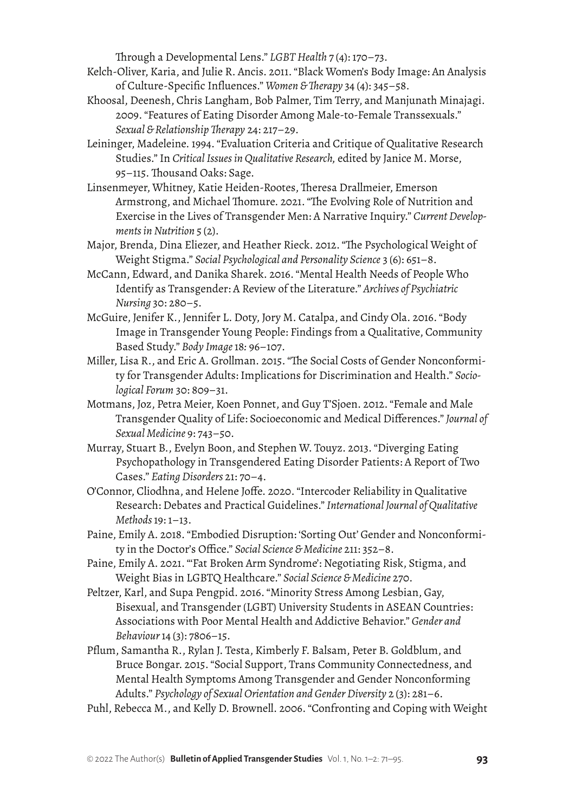Through a Developmental Lens." *LGBT Health* 7 (4): 170–73.

- Kelch-Oliver, Karia, and Julie R. Ancis. 2011. "Black Women's Body Image: An Analysis of Culture-Specific Influences." *Women & Therapy* 34 (4): 345–58.
- Khoosal, Deenesh, Chris Langham, Bob Palmer, Tim Terry, and Manjunath Minajagi. 2009. "Features of Eating Disorder Among Male-to-Female Transsexuals." *Sexual & Relationship Therapy* 24: 217–29.
- Leininger, Madeleine. 1994. "Evaluation Criteria and Critique of Qualitative Research Studies." In *Critical Issues in Qualitative Research,* edited by Janice M. Morse, 95–115. Thousand Oaks: Sage.
- Linsenmeyer, Whitney, Katie Heiden-Rootes, Theresa Drallmeier, Emerson Armstrong, and Michael Thomure. 2021. "The Evolving Role of Nutrition and Exercise in the Lives of Transgender Men: A Narrative Inquiry." *Current Developments in Nutrition* 5 (2).
- Major, Brenda, Dina Eliezer, and Heather Rieck. 2012. "The Psychological Weight of Weight Stigma." *Social Psychological and Personality Science* 3 (6): 651–8.
- McCann, Edward, and Danika Sharek. 2016. "Mental Health Needs of People Who Identify as Transgender: A Review of the Literature." *Archives of Psychiatric Nursing* 30: 280–5.
- McGuire, Jenifer K., Jennifer L. Doty, Jory M. Catalpa, and Cindy Ola. 2016. "Body Image in Transgender Young People: Findings from a Qualitative, Community Based Study." *Body Image* 18*:* 96–107.
- Miller, Lisa R., and Eric A. Grollman. 2015. "The Social Costs of Gender Nonconformity for Transgender Adults: Implications for Discrimination and Health." *Sociological Forum* 30: 809–31.
- Motmans, Joz, Petra Meier, Koen Ponnet, and Guy T'Sjoen. 2012. "Female and Male Transgender Quality of Life: Socioeconomic and Medical Differences." *Journal of Sexual Medicine* 9: 743–50.
- Murray, Stuart B., Evelyn Boon, and Stephen W. Touyz. 2013. "Diverging Eating Psychopathology in Transgendered Eating Disorder Patients: A Report of Two Cases." *Eating Disorders* 21: 70–4.
- O'Connor, Cliodhna, and Helene Joffe. 2020. "Intercoder Reliability in Qualitative Research: Debates and Practical Guidelines." *International Journal of Qualitative Methods* 19: 1–13.
- Paine, Emily A. 2018. "Embodied Disruption: 'Sorting Out' Gender and Nonconformity in the Doctor's Office." *Social Science & Medicine* 211: 352–8.
- Paine, Emily A. 2021. "'Fat Broken Arm Syndrome': Negotiating Risk, Stigma, and Weight Bias in LGBTQ Healthcare." *Social Science & Medicine* 270.
- Peltzer, Karl, and Supa Pengpid. 2016. "Minority Stress Among Lesbian, Gay, Bisexual, and Transgender (LGBT) University Students in ASEAN Countries: Associations with Poor Mental Health and Addictive Behavior." *Gender and Behaviour* 14 (3): 7806–15.
- Pflum, Samantha R., Rylan J. Testa, Kimberly F. Balsam, Peter B. Goldblum, and Bruce Bongar. 2015. "Social Support, Trans Community Connectedness, and Mental Health Symptoms Among Transgender and Gender Nonconforming Adults." *Psychology of Sexual Orientation and Gender Diversity* 2 (3): 281–6.
- Puhl, Rebecca M., and Kelly D. Brownell. 2006. "Confronting and Coping with Weight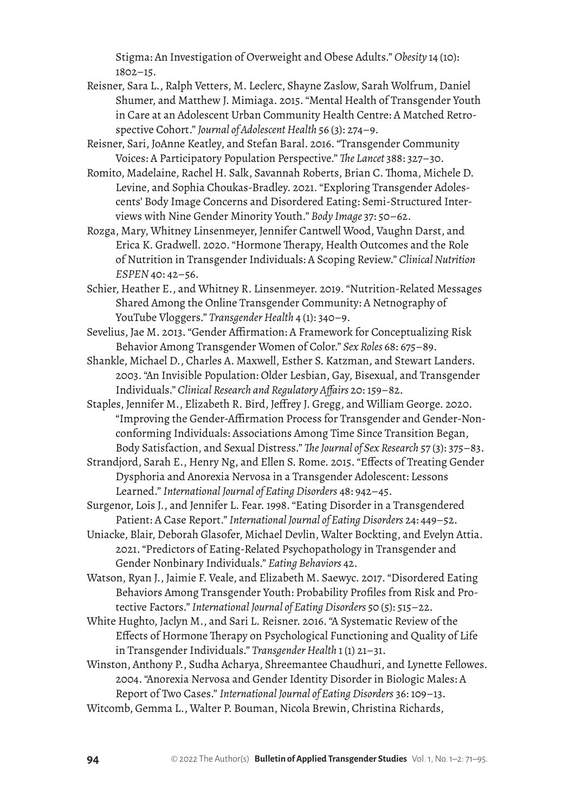Stigma: An Investigation of Overweight and Obese Adults." *Obesity* 14 (10): 1802–15.

- Reisner, Sara L., Ralph Vetters, M. Leclerc, Shayne Zaslow, Sarah Wolfrum, Daniel Shumer, and Matthew J. Mimiaga. 2015. "Mental Health of Transgender Youth in Care at an Adolescent Urban Community Health Centre: A Matched Retrospective Cohort." *Journal of Adolescent Health* 56 (3): 274–9.
- Reisner, Sari, JoAnne Keatley, and Stefan Baral. 2016. "Transgender Community Voices: A Participatory Population Perspective." *The Lancet* 388: 327–30.
- Romito, Madelaine, Rachel H. Salk, Savannah Roberts, Brian C. Thoma, Michele D. Levine, and Sophia Choukas-Bradley. 2021. "Exploring Transgender Adolescents' Body Image Concerns and Disordered Eating: Semi-Structured Interviews with Nine Gender Minority Youth." *Body Image* 37: 50–62.
- Rozga, Mary, Whitney Linsenmeyer, Jennifer Cantwell Wood, Vaughn Darst, and Erica K. Gradwell. 2020. "Hormone Therapy, Health Outcomes and the Role of Nutrition in Transgender Individuals: A Scoping Review." *Clinical Nutrition ESPEN* 40: 42–56.
- Schier, Heather E., and Whitney R. Linsenmeyer. 2019. "Nutrition-Related Messages Shared Among the Online Transgender Community: A Netnography of YouTube Vloggers." *Transgender Health* 4 (1): 340–9.
- Sevelius, Jae M. 2013. "Gender Affirmation: A Framework for Conceptualizing Risk Behavior Among Transgender Women of Color." *Sex Roles* 68: 675–89.
- Shankle, Michael D., Charles A. Maxwell, Esther S. Katzman, and Stewart Landers. 2003. "An Invisible Population: Older Lesbian, Gay, Bisexual, and Transgender Individuals." *Clinical Research and Regulatory Affairs* 20: 159–82.
- Staples, Jennifer M., Elizabeth R. Bird, Jeffrey J. Gregg, and William George. 2020. "Improving the Gender-Affirmation Process for Transgender and Gender-Nonconforming Individuals: Associations Among Time Since Transition Began, Body Satisfaction, and Sexual Distress." *The Journal of Sex Research* 57 (3): 375–83.
- Strandjord, Sarah E., Henry Ng, and Ellen S. Rome. 2015. "Effects of Treating Gender Dysphoria and Anorexia Nervosa in a Transgender Adolescent: Lessons Learned." *International Journal of Eating Disorders* 48: 942–45.
- Surgenor, Lois J., and Jennifer L. Fear. 1998. "Eating Disorder in a Transgendered Patient: A Case Report." *International Journal of Eating Disorders* 24: 449–52.
- Uniacke, Blair, Deborah Glasofer, Michael Devlin, Walter Bockting, and Evelyn Attia. 2021. "Predictors of Eating-Related Psychopathology in Transgender and Gender Nonbinary Individuals." *Eating Behaviors* 42.
- Watson, Ryan J., Jaimie F. Veale, and Elizabeth M. Saewyc. 2017. "Disordered Eating Behaviors Among Transgender Youth: Probability Profiles from Risk and Protective Factors." *International Journal of Eating Disorders* 50 (5): 515–22.
- White Hughto, Jaclyn M., and Sari L. Reisner. 2016. "A Systematic Review of the Effects of Hormone Therapy on Psychological Functioning and Quality of Life in Transgender Individuals." *Transgender Health* 1(1) 21–31.
- Winston, Anthony P., Sudha Acharya, Shreemantee Chaudhuri, and Lynette Fellowes. 2004. "Anorexia Nervosa and Gender Identity Disorder in Biologic Males: A Report of Two Cases." *International Journal of Eating Disorders* 36: 109–13.
- Witcomb, Gemma L., Walter P. Bouman, Nicola Brewin, Christina Richards,